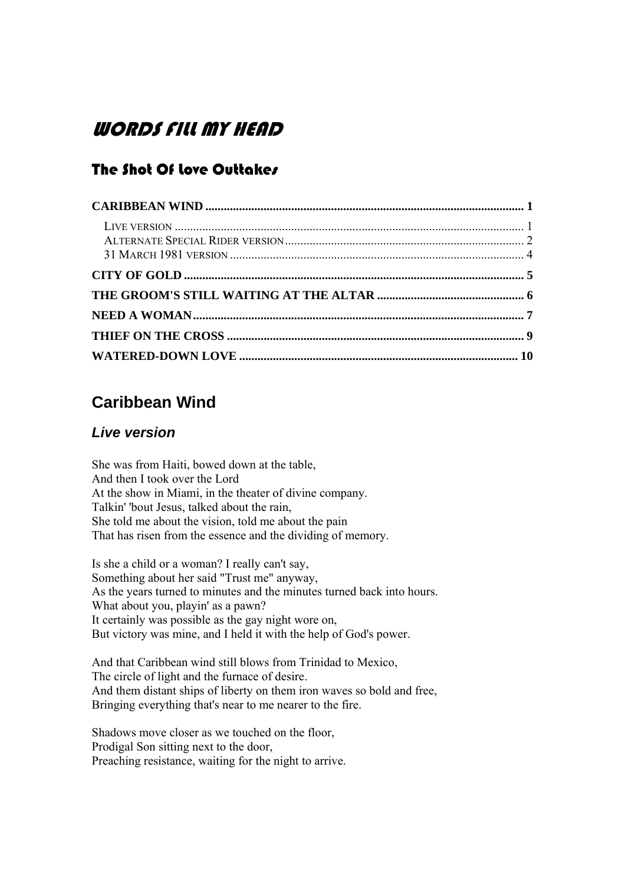# WORDS FILL MY HEAD

## The Shot Of Love Outtakes

# **Caribbean Wind**

## *Live version*

She was from Haiti, bowed down at the table, And then I took over the Lord At the show in Miami, in the theater of divine company. Talkin' 'bout Jesus, talked about the rain, She told me about the vision, told me about the pain That has risen from the essence and the dividing of memory.

Is she a child or a woman? I really can't say, Something about her said "Trust me" anyway, As the years turned to minutes and the minutes turned back into hours. What about you, playin' as a pawn? It certainly was possible as the gay night wore on, But victory was mine, and I held it with the help of God's power.

And that Caribbean wind still blows from Trinidad to Mexico, The circle of light and the furnace of desire. And them distant ships of liberty on them iron waves so bold and free, Bringing everything that's near to me nearer to the fire.

Shadows move closer as we touched on the floor, Prodigal Son sitting next to the door, Preaching resistance, waiting for the night to arrive.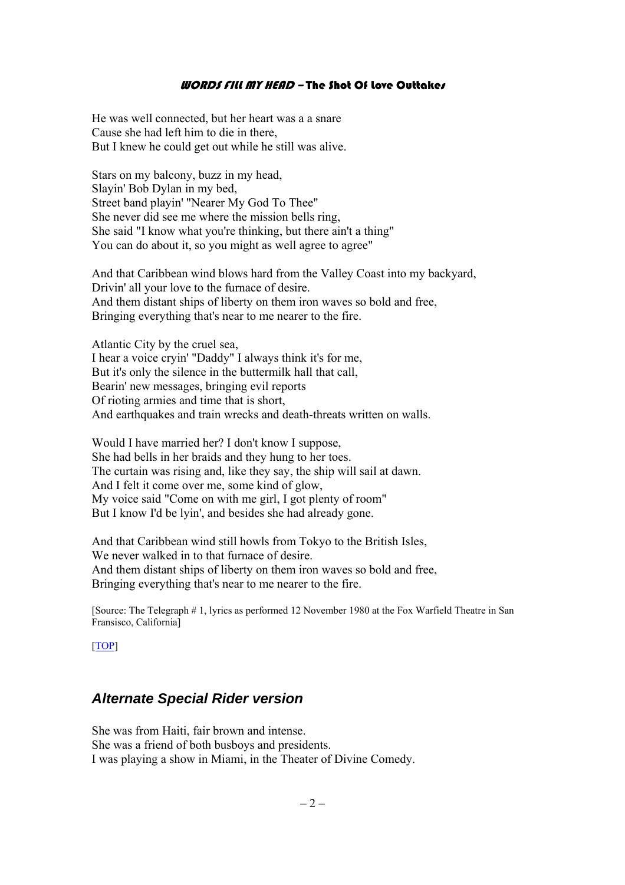He was well connected, but her heart was a a snare Cause she had left him to die in there, But I knew he could get out while he still was alive.

Stars on my balcony, buzz in my head, Slayin' Bob Dylan in my bed, Street band playin' "Nearer My God To Thee" She never did see me where the mission bells ring, She said "I know what you're thinking, but there ain't a thing" You can do about it, so you might as well agree to agree"

And that Caribbean wind blows hard from the Valley Coast into my backyard, Drivin' all your love to the furnace of desire. And them distant ships of liberty on them iron waves so bold and free, Bringing everything that's near to me nearer to the fire.

Atlantic City by the cruel sea, I hear a voice cryin' "Daddy" I always think it's for me, But it's only the silence in the buttermilk hall that call, Bearin' new messages, bringing evil reports Of rioting armies and time that is short, And earthquakes and train wrecks and death-threats written on walls.

Would I have married her? I don't know I suppose, She had bells in her braids and they hung to her toes. The curtain was rising and, like they say, the ship will sail at dawn. And I felt it come over me, some kind of glow, My voice said "Come on with me girl, I got plenty of room" But I know I'd be lyin', and besides she had already gone.

And that Caribbean wind still howls from Tokyo to the British Isles, We never walked in to that furnace of desire. And them distant ships of liberty on them iron waves so bold and free, Bringing everything that's near to me nearer to the fire.

[Source: The Telegraph # 1, lyrics as performed 12 November 1980 at the Fox Warfield Theatre in San Fransisco, California]

[TOP]

### *Alternate Special Rider version*

She was from Haiti, fair brown and intense. She was a friend of both busboys and presidents. I was playing a show in Miami, in the Theater of Divine Comedy.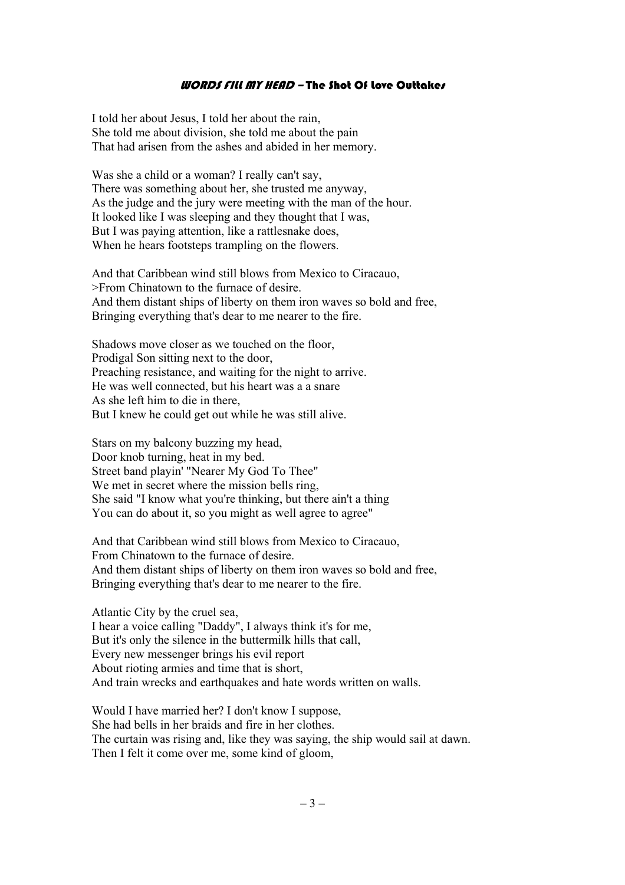I told her about Jesus, I told her about the rain, She told me about division, she told me about the pain That had arisen from the ashes and abided in her memory.

Was she a child or a woman? I really can't say, There was something about her, she trusted me anyway, As the judge and the jury were meeting with the man of the hour. It looked like I was sleeping and they thought that I was, But I was paying attention, like a rattlesnake does, When he hears footsteps trampling on the flowers.

And that Caribbean wind still blows from Mexico to Ciracauo, >From Chinatown to the furnace of desire. And them distant ships of liberty on them iron waves so bold and free, Bringing everything that's dear to me nearer to the fire.

Shadows move closer as we touched on the floor, Prodigal Son sitting next to the door, Preaching resistance, and waiting for the night to arrive. He was well connected, but his heart was a a snare As she left him to die in there, But I knew he could get out while he was still alive.

Stars on my balcony buzzing my head, Door knob turning, heat in my bed. Street band playin' "Nearer My God To Thee" We met in secret where the mission bells ring, She said "I know what you're thinking, but there ain't a thing You can do about it, so you might as well agree to agree"

And that Caribbean wind still blows from Mexico to Ciracauo, From Chinatown to the furnace of desire. And them distant ships of liberty on them iron waves so bold and free, Bringing everything that's dear to me nearer to the fire.

Atlantic City by the cruel sea, I hear a voice calling "Daddy", I always think it's for me, But it's only the silence in the buttermilk hills that call, Every new messenger brings his evil report About rioting armies and time that is short, And train wrecks and earthquakes and hate words written on walls.

Would I have married her? I don't know I suppose, She had bells in her braids and fire in her clothes. The curtain was rising and, like they was saying, the ship would sail at dawn. Then I felt it come over me, some kind of gloom,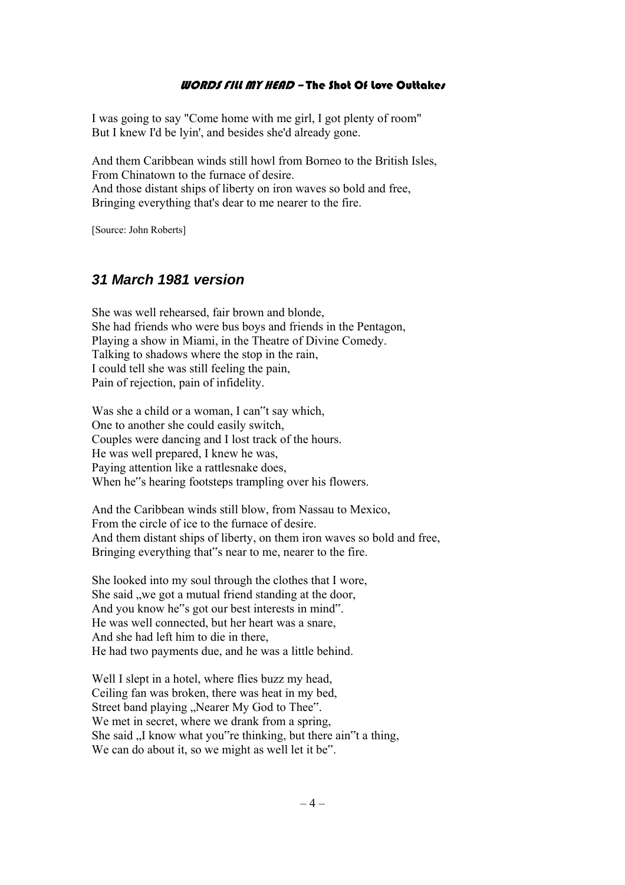I was going to say "Come home with me girl, I got plenty of room" But I knew I'd be lyin', and besides she'd already gone.

And them Caribbean winds still howl from Borneo to the British Isles, From Chinatown to the furnace of desire. And those distant ships of liberty on iron waves so bold and free, Bringing everything that's dear to me nearer to the fire.

[Source: John Roberts]

### *31 March 1981 version*

She was well rehearsed, fair brown and blonde, She had friends who were bus boys and friends in the Pentagon, Playing a show in Miami, in the Theatre of Divine Comedy. Talking to shadows where the stop in the rain, I could tell she was still feeling the pain, Pain of rejection, pain of infidelity.

Was she a child or a woman, I can"t say which, One to another she could easily switch, Couples were dancing and I lost track of the hours. He was well prepared, I knew he was, Paying attention like a rattlesnake does, When he<sup>"s</sup> hearing footsteps trampling over his flowers.

And the Caribbean winds still blow, from Nassau to Mexico, From the circle of ice to the furnace of desire. And them distant ships of liberty, on them iron waves so bold and free, Bringing everything that"s near to me, nearer to the fire.

She looked into my soul through the clothes that I wore, She said , we got a mutual friend standing at the door, And you know he"s got our best interests in mind". He was well connected, but her heart was a snare, And she had left him to die in there, He had two payments due, and he was a little behind.

Well I slept in a hotel, where flies buzz my head, Ceiling fan was broken, there was heat in my bed, Street band playing "Nearer My God to Thee". We met in secret, where we drank from a spring, She said ...I know what you"re thinking, but there ain"t a thing, We can do about it, so we might as well let it be".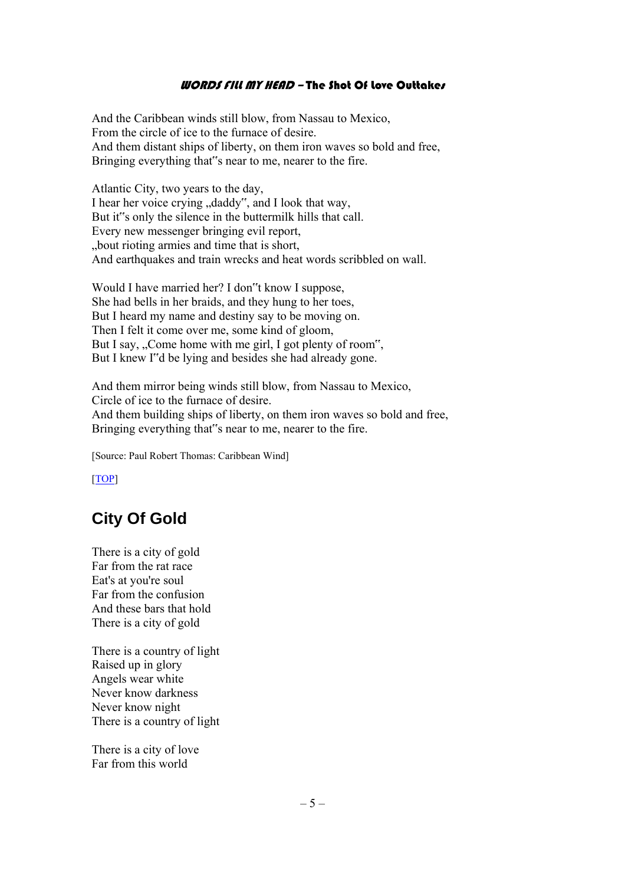And the Caribbean winds still blow, from Nassau to Mexico, From the circle of ice to the furnace of desire. And them distant ships of liberty, on them iron waves so bold and free, Bringing everything that"s near to me, nearer to the fire.

Atlantic City, two years to the day, I hear her voice crying "daddy", and I look that way, But it"s only the silence in the buttermilk hills that call. Every new messenger bringing evil report, "bout rioting armies and time that is short. And earthquakes and train wrecks and heat words scribbled on wall.

Would I have married her? I don"t know I suppose, She had bells in her braids, and they hung to her toes, But I heard my name and destiny say to be moving on. Then I felt it come over me, some kind of gloom, But I say,  $\alpha$ Come home with me girl, I got plenty of room", But I knew I"d be lying and besides she had already gone.

And them mirror being winds still blow, from Nassau to Mexico, Circle of ice to the furnace of desire. And them building ships of liberty, on them iron waves so bold and free, Bringing everything that"s near to me, nearer to the fire.

[Source: Paul Robert Thomas: Caribbean Wind]

[TOP]

# **City Of Gold**

There is a city of gold Far from the rat race Eat's at you're soul Far from the confusion And these bars that hold There is a city of gold

There is a country of light Raised up in glory Angels wear white Never know darkness Never know night There is a country of light

There is a city of love Far from this world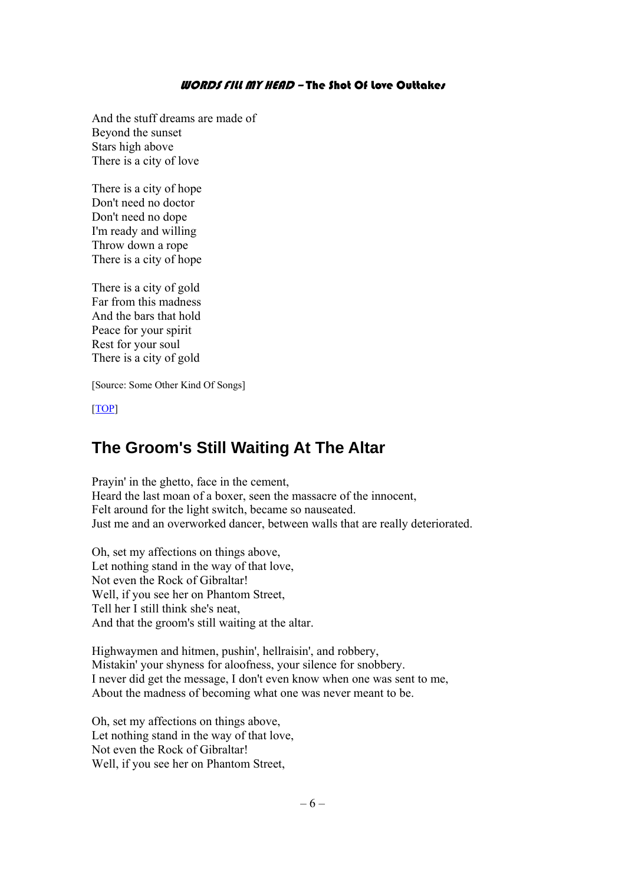And the stuff dreams are made of Beyond the sunset Stars high above There is a city of love

There is a city of hope Don't need no doctor Don't need no dope I'm ready and willing Throw down a rope There is a city of hope

There is a city of gold Far from this madness And the bars that hold Peace for your spirit Rest for your soul There is a city of gold

[Source: Some Other Kind Of Songs]

[TOP]

## **The Groom's Still Waiting At The Altar**

Prayin' in the ghetto, face in the cement, Heard the last moan of a boxer, seen the massacre of the innocent, Felt around for the light switch, became so nauseated. Just me and an overworked dancer, between walls that are really deteriorated.

Oh, set my affections on things above, Let nothing stand in the way of that love, Not even the Rock of Gibraltar! Well, if you see her on Phantom Street, Tell her I still think she's neat, And that the groom's still waiting at the altar.

Highwaymen and hitmen, pushin', hellraisin', and robbery, Mistakin' your shyness for aloofness, your silence for snobbery. I never did get the message, I don't even know when one was sent to me, About the madness of becoming what one was never meant to be.

Oh, set my affections on things above, Let nothing stand in the way of that love, Not even the Rock of Gibraltar! Well, if you see her on Phantom Street,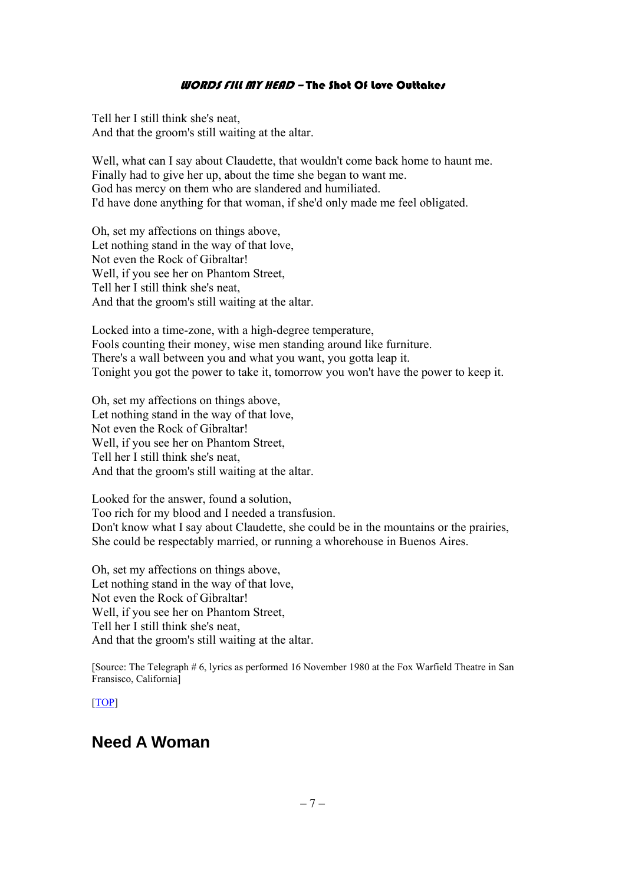Tell her I still think she's neat, And that the groom's still waiting at the altar.

Well, what can I say about Claudette, that wouldn't come back home to haunt me. Finally had to give her up, about the time she began to want me. God has mercy on them who are slandered and humiliated. I'd have done anything for that woman, if she'd only made me feel obligated.

Oh, set my affections on things above, Let nothing stand in the way of that love, Not even the Rock of Gibraltar! Well, if you see her on Phantom Street. Tell her I still think she's neat, And that the groom's still waiting at the altar.

Locked into a time-zone, with a high-degree temperature, Fools counting their money, wise men standing around like furniture. There's a wall between you and what you want, you gotta leap it. Tonight you got the power to take it, tomorrow you won't have the power to keep it.

Oh, set my affections on things above, Let nothing stand in the way of that love, Not even the Rock of Gibraltar! Well, if you see her on Phantom Street, Tell her I still think she's neat, And that the groom's still waiting at the altar.

Looked for the answer, found a solution, Too rich for my blood and I needed a transfusion. Don't know what I say about Claudette, she could be in the mountains or the prairies, She could be respectably married, or running a whorehouse in Buenos Aires.

Oh, set my affections on things above, Let nothing stand in the way of that love, Not even the Rock of Gibraltar! Well, if you see her on Phantom Street, Tell her I still think she's neat, And that the groom's still waiting at the altar.

[Source: The Telegraph # 6, lyrics as performed 16 November 1980 at the Fox Warfield Theatre in San Fransisco, California]

[TOP]

## **Need A Woman**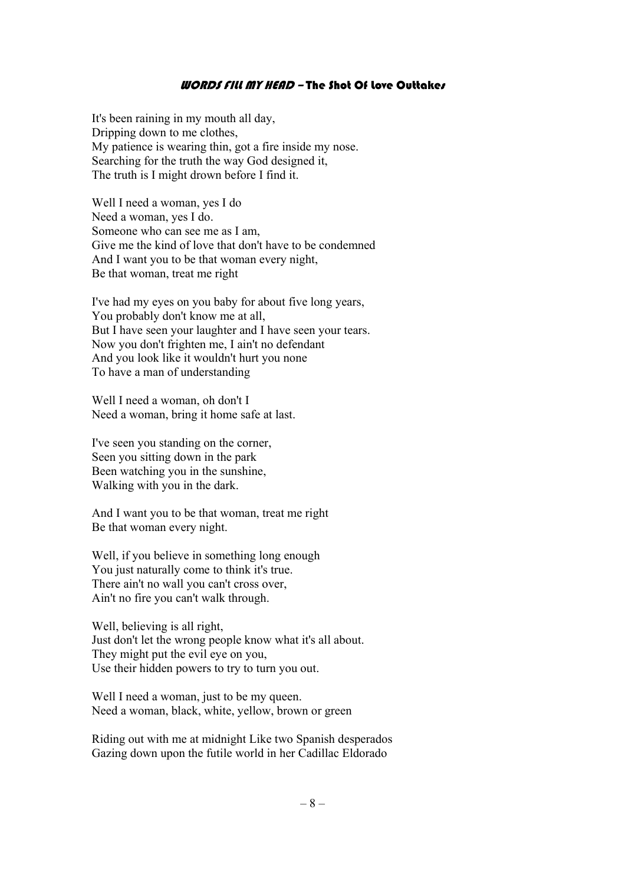It's been raining in my mouth all day, Dripping down to me clothes, My patience is wearing thin, got a fire inside my nose. Searching for the truth the way God designed it, The truth is I might drown before I find it.

Well I need a woman, yes I do Need a woman, yes I do. Someone who can see me as I am, Give me the kind of love that don't have to be condemned And I want you to be that woman every night, Be that woman, treat me right

I've had my eyes on you baby for about five long years, You probably don't know me at all, But I have seen your laughter and I have seen your tears. Now you don't frighten me, I ain't no defendant And you look like it wouldn't hurt you none To have a man of understanding

Well I need a woman, oh don't I Need a woman, bring it home safe at last.

I've seen you standing on the corner, Seen you sitting down in the park Been watching you in the sunshine, Walking with you in the dark.

And I want you to be that woman, treat me right Be that woman every night.

Well, if you believe in something long enough You just naturally come to think it's true. There ain't no wall you can't cross over, Ain't no fire you can't walk through.

Well, believing is all right, Just don't let the wrong people know what it's all about. They might put the evil eye on you. Use their hidden powers to try to turn you out.

Well I need a woman, just to be my queen. Need a woman, black, white, yellow, brown or green

Riding out with me at midnight Like two Spanish desperados Gazing down upon the futile world in her Cadillac Eldorado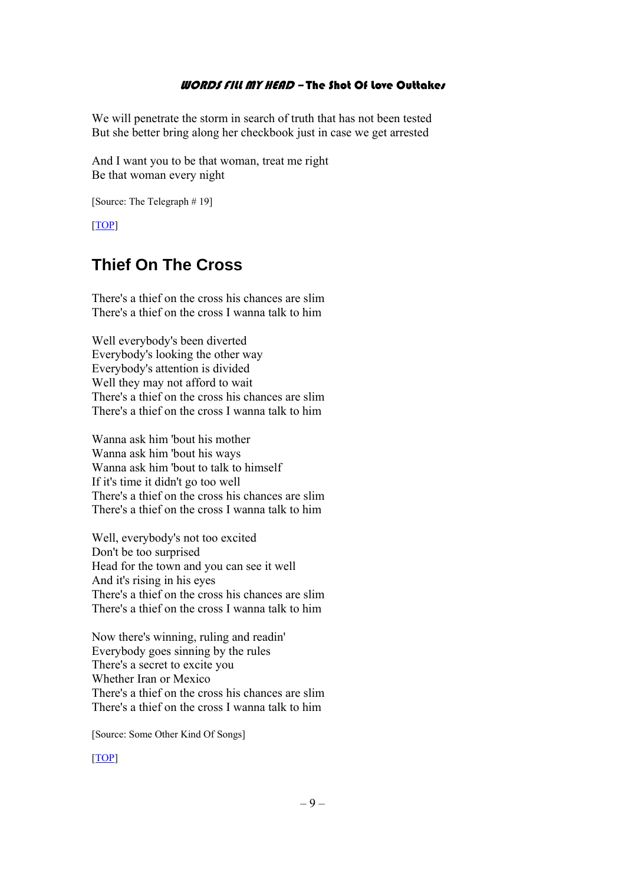We will penetrate the storm in search of truth that has not been tested But she better bring along her checkbook just in case we get arrested

And I want you to be that woman, treat me right Be that woman every night

[Source: The Telegraph # 19]

[TOP]

## **Thief On The Cross**

There's a thief on the cross his chances are slim There's a thief on the cross I wanna talk to him

Well everybody's been diverted Everybody's looking the other way Everybody's attention is divided Well they may not afford to wait There's a thief on the cross his chances are slim There's a thief on the cross I wanna talk to him

Wanna ask him 'bout his mother Wanna ask him 'bout his ways Wanna ask him 'bout to talk to himself If it's time it didn't go too well There's a thief on the cross his chances are slim There's a thief on the cross I wanna talk to him

Well, everybody's not too excited Don't be too surprised Head for the town and you can see it well And it's rising in his eyes There's a thief on the cross his chances are slim There's a thief on the cross I wanna talk to him

Now there's winning, ruling and readin' Everybody goes sinning by the rules There's a secret to excite you Whether Iran or Mexico There's a thief on the cross his chances are slim There's a thief on the cross I wanna talk to him

[Source: Some Other Kind Of Songs]

[TOP]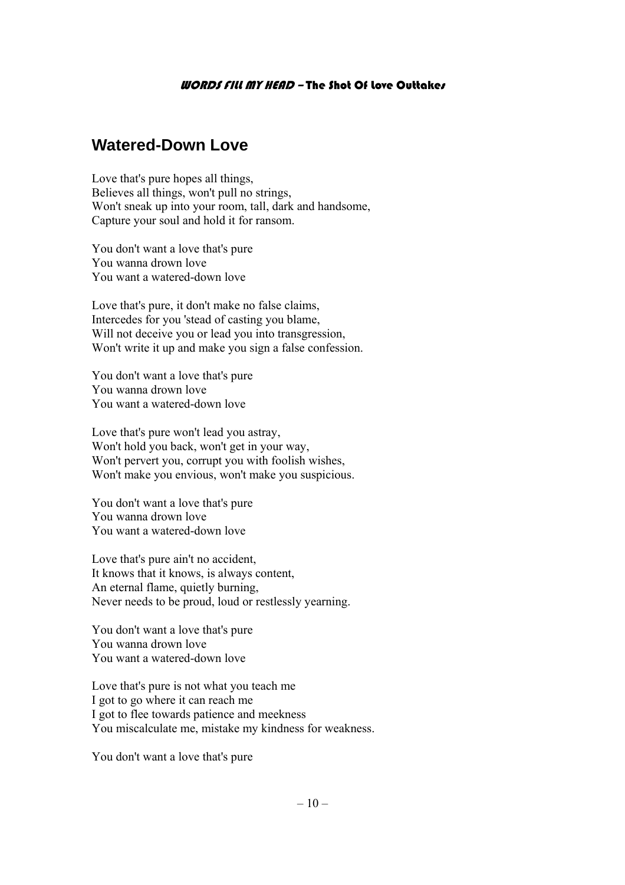## **Watered-Down Love**

Love that's pure hopes all things, Believes all things, won't pull no strings, Won't sneak up into your room, tall, dark and handsome, Capture your soul and hold it for ransom.

You don't want a love that's pure You wanna drown love You want a watered-down love

Love that's pure, it don't make no false claims, Intercedes for you 'stead of casting you blame, Will not deceive you or lead you into transgression, Won't write it up and make you sign a false confession.

You don't want a love that's pure You wanna drown love You want a watered-down love

Love that's pure won't lead you astray, Won't hold you back, won't get in your way, Won't pervert you, corrupt you with foolish wishes, Won't make you envious, won't make you suspicious.

You don't want a love that's pure You wanna drown love You want a watered-down love

Love that's pure ain't no accident, It knows that it knows, is always content, An eternal flame, quietly burning, Never needs to be proud, loud or restlessly yearning.

You don't want a love that's pure You wanna drown love You want a watered-down love

Love that's pure is not what you teach me I got to go where it can reach me I got to flee towards patience and meekness You miscalculate me, mistake my kindness for weakness.

You don't want a love that's pure